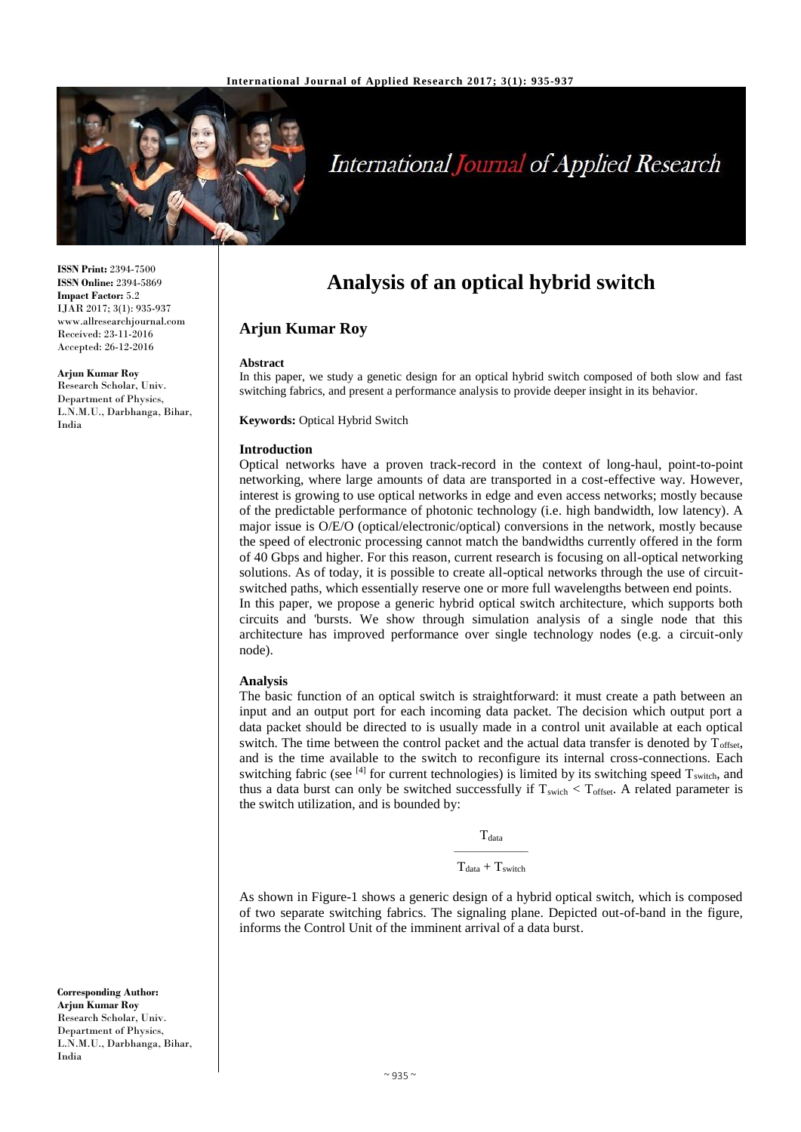

# International Journal of Applied Research

**ISSN Print:** 2394-7500 **ISSN Online:** 2394-5869 **Impact Factor:** 5.2 IJAR 2017; 3(1): 935-937 www.allresearchjournal.com Received: 23-11-2016 Accepted: 26-12-2016

**Arjun Kumar Roy**

Research Scholar, Univ. Department of Physics, L.N.M.U., Darbhanga, Bihar, India

# **Analysis of an optical hybrid switch**

# **Arjun Kumar Roy**

#### **Abstract**

In this paper, we study a genetic design for an optical hybrid switch composed of both slow and fast switching fabrics, and present a performance analysis to provide deeper insight in its behavior.

**Keywords:** Optical Hybrid Switch

#### **Introduction**

Optical networks have a proven track-record in the context of long-haul, point-to-point networking, where large amounts of data are transported in a cost-effective way. However, interest is growing to use optical networks in edge and even access networks; mostly because of the predictable performance of photonic technology (i.e. high bandwidth, low latency). A major issue is O/E/O (optical/electronic/optical) conversions in the network, mostly because the speed of electronic processing cannot match the bandwidths currently offered in the form of 40 Gbps and higher. For this reason, current research is focusing on all-optical networking solutions. As of today, it is possible to create all-optical networks through the use of circuitswitched paths, which essentially reserve one or more full wavelengths between end points. In this paper, we propose a generic hybrid optical switch architecture, which supports both circuits and 'bursts. We show through simulation analysis of a single node that this architecture has improved performance over single technology nodes (e.g. a circuit-only node).

#### **Analysis**

The basic function of an optical switch is straightforward: it must create a path between an input and an output port for each incoming data packet. The decision which output port a data packet should be directed to is usually made in a control unit available at each optical switch. The time between the control packet and the actual data transfer is denoted by  $T_{\text{offset}}$ , and is the time available to the switch to reconfigure its internal cross-connections. Each switching fabric (see  $^{[4]}$  for current technologies) is limited by its switching speed  $T_{switch}$ , and thus a data burst can only be switched successfully if  $T_{switch} < T_{offset}$ . A related parameter is the switch utilization, and is bounded by:

**T**<sub>data</sub>

–––––––––––  $T_{data} + T_{switch}$ 

As shown in Figure-1 shows a generic design of a hybrid optical switch, which is composed of two separate switching fabrics. The signaling plane. Depicted out-of-band in the figure, informs the Control Unit of the imminent arrival of a data burst.

**Corresponding Author: Arjun Kumar Roy** Research Scholar, Univ. Department of Physics, L.N.M.U., Darbhanga, Bihar, India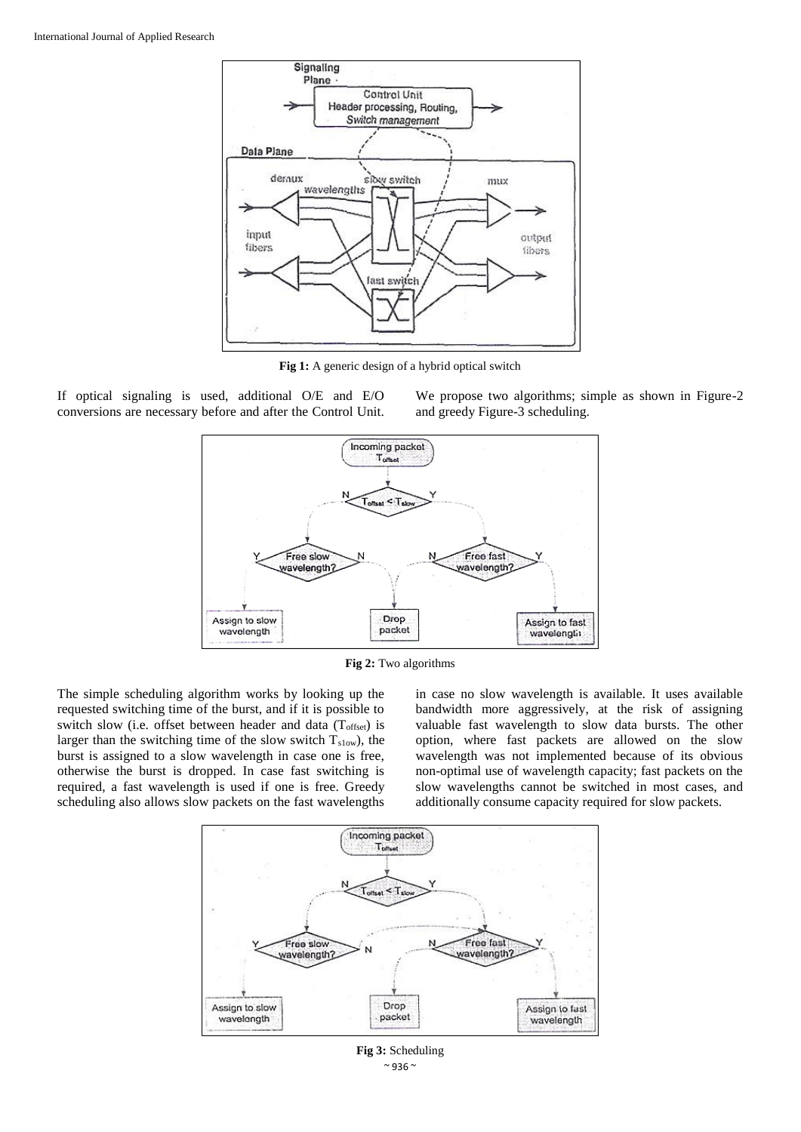

**Fig 1:** A generic design of a hybrid optical switch

If optical signaling is used, additional O/E and E/O conversions are necessary before and after the Control Unit.

We propose two algorithms; simple as shown in Figure-2 and greedy Figure-3 scheduling.



**Fig 2:** Two algorithms

The simple scheduling algorithm works by looking up the requested switching time of the burst, and if it is possible to switch slow (i.e. offset between header and data (Toffset) is larger than the switching time of the slow switch  $T_{slow}$ ), the burst is assigned to a slow wavelength in case one is free, otherwise the burst is dropped. In case fast switching is required, a fast wavelength is used if one is free. Greedy scheduling also allows slow packets on the fast wavelengths

in case no slow wavelength is available. It uses available bandwidth more aggressively, at the risk of assigning valuable fast wavelength to slow data bursts. The other option, where fast packets are allowed on the slow wavelength was not implemented because of its obvious non-optimal use of wavelength capacity; fast packets on the slow wavelengths cannot be switched in most cases, and additionally consume capacity required for slow packets.



 $~^{\sim}$  936  $~^{\sim}$ **Fig 3:** Scheduling